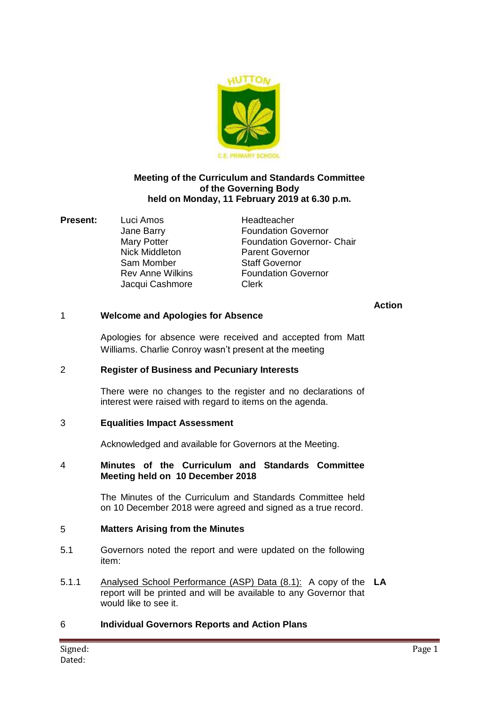

#### **Meeting of the Curriculum and Standards Committee of the Governing Body held on Monday, 11 February 2019 at 6.30 p.m.**

**Present:** Luci Amos Headteacher Sam Momber Staff Governor Jacqui Cashmore Clerk

Jane Barry Foundation Governor Mary Potter **Foundation Governor- Chair** Nick Middleton Parent Governor Rev Anne Wilkins **Foundation Governor** 

#### **Action**

## 1 **Welcome and Apologies for Absence**

Apologies for absence were received and accepted from Matt Williams. Charlie Conroy wasn't present at the meeting

#### 2 **Register of Business and Pecuniary Interests**

There were no changes to the register and no declarations of interest were raised with regard to items on the agenda.

## 3 **Equalities Impact Assessment**

Acknowledged and available for Governors at the Meeting.

#### 4 **Minutes of the Curriculum and Standards Committee Meeting held on 10 December 2018**

The Minutes of the Curriculum and Standards Committee held on 10 December 2018 were agreed and signed as a true record.

#### 5 **Matters Arising from the Minutes**

- 5.1 Governors noted the report and were updated on the following item:
- 5.1.1 Analysed School Performance (ASP) Data (8.1): A copy of the **LA** report will be printed and will be available to any Governor that would like to see it.

## 6 **Individual Governors Reports and Action Plans**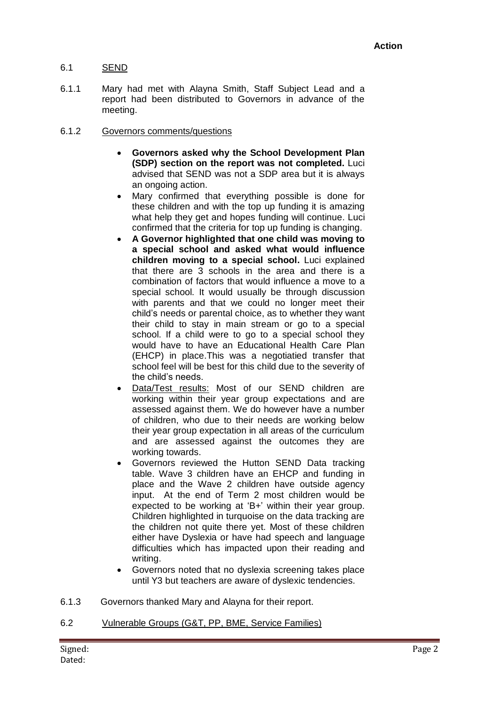## 6.1 SEND

6.1.1 Mary had met with Alayna Smith, Staff Subject Lead and a report had been distributed to Governors in advance of the meeting.

#### 6.1.2 Governors comments/questions

- **Governors asked why the School Development Plan (SDP) section on the report was not completed.** Luci advised that SEND was not a SDP area but it is always an ongoing action.
- Mary confirmed that everything possible is done for these children and with the top up funding it is amazing what help they get and hopes funding will continue. Luci confirmed that the criteria for top up funding is changing.
- **A Governor highlighted that one child was moving to a special school and asked what would influence children moving to a special school.** Luci explained that there are 3 schools in the area and there is a combination of factors that would influence a move to a special school. It would usually be through discussion with parents and that we could no longer meet their child's needs or parental choice, as to whether they want their child to stay in main stream or go to a special school. If a child were to go to a special school they would have to have an Educational Health Care Plan (EHCP) in place.This was a negotiatied transfer that school feel will be best for this child due to the severity of the child's needs.
- Data/Test results: Most of our SEND children are working within their year group expectations and are assessed against them. We do however have a number of children, who due to their needs are working below their year group expectation in all areas of the curriculum and are assessed against the outcomes they are working towards.
- Governors reviewed the Hutton SEND Data tracking table. Wave 3 children have an EHCP and funding in place and the Wave 2 children have outside agency input. At the end of Term 2 most children would be expected to be working at 'B+' within their year group. Children highlighted in turquoise on the data tracking are the children not quite there yet. Most of these children either have Dyslexia or have had speech and language difficulties which has impacted upon their reading and writing.
- Governors noted that no dyslexia screening takes place until Y3 but teachers are aware of dyslexic tendencies.
- 6.1.3 Governors thanked Mary and Alayna for their report.
- 6.2 Vulnerable Groups (G&T, PP, BME, Service Families)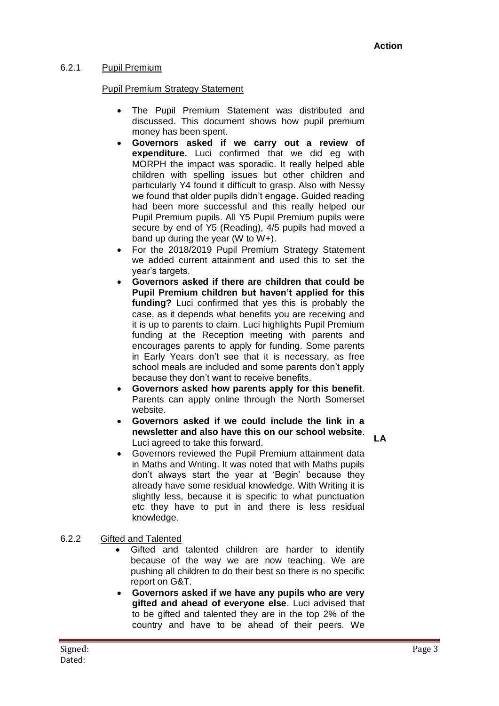### 6.2.1 Pupil Premium

## Pupil Premium Strategy Statement

- The Pupil Premium Statement was distributed and discussed. This document shows how pupil premium money has been spent.
- **Governors asked if we carry out a review of expenditure.** Luci confirmed that we did eg with MORPH the impact was sporadic. It really helped able children with spelling issues but other children and particularly Y4 found it difficult to grasp. Also with Nessy we found that older pupils didn't engage. Guided reading had been more successful and this really helped our Pupil Premium pupils. All Y5 Pupil Premium pupils were secure by end of Y5 (Reading), 4/5 pupils had moved a band up during the year (W to W+).
- For the 2018/2019 Pupil Premium Strategy Statement we added current attainment and used this to set the year's targets.
- **Governors asked if there are children that could be Pupil Premium children but haven't applied for this funding?** Luci confirmed that yes this is probably the case, as it depends what benefits you are receiving and it is up to parents to claim. Luci highlights Pupil Premium funding at the Reception meeting with parents and encourages parents to apply for funding. Some parents in Early Years don't see that it is necessary, as free school meals are included and some parents don't apply because they don't want to receive benefits.
- **Governors asked how parents apply for this benefit**. Parents can apply online through the North Somerset website.
- **Governors asked if we could include the link in a newsletter and also have this on our school website**. Luci agreed to take this forward.
- **LA**
- Governors reviewed the Pupil Premium attainment data in Maths and Writing. It was noted that with Maths pupils don't always start the year at 'Begin' because they already have some residual knowledge. With Writing it is slightly less, because it is specific to what punctuation etc they have to put in and there is less residual knowledge.

6.2.2 Gifted and Talented

- Gifted and talented children are harder to identify because of the way we are now teaching. We are pushing all children to do their best so there is no specific report on G&T.
- **Governors asked if we have any pupils who are very gifted and ahead of everyone else**. Luci advised that to be gifted and talented they are in the top 2% of the country and have to be ahead of their peers. We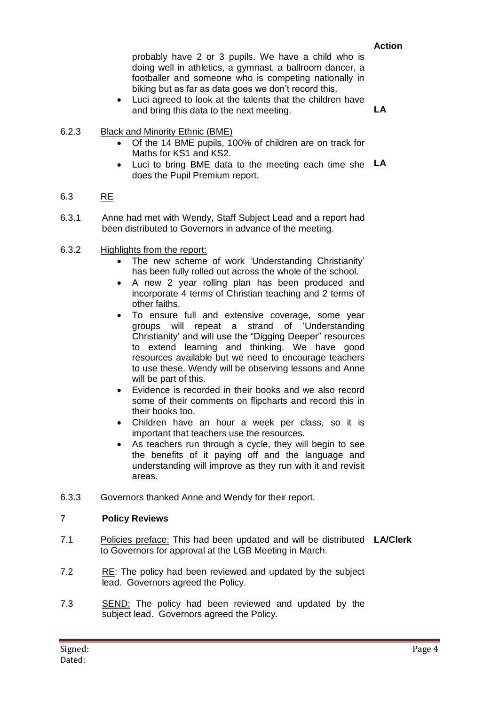#### **Action**

probably have 2 or 3 pupils. We have a child who is doing well in athletics, a gymnast, a ballroom dancer, a footballer and someone who is competing nationally in biking but as far as data goes we don't record this.

 Luci agreed to look at the talents that the children have and bring this data to the next meeting. **LA**

- 6.2.3 Black and Minority Ethnic (BME)
	- Of the 14 BME pupils, 100% of children are on track for Maths for KS1 and KS2.
	- Luci to bring BME data to the meeting each time she **LA** does the Pupil Premium report.

#### 6.3 RE

- 6.3.1 Anne had met with Wendy, Staff Subject Lead and a report had been distributed to Governors in advance of the meeting.
- 6.3.2 Highlights from the report:
	- The new scheme of work 'Understanding Christianity' has been fully rolled out across the whole of the school.
	- A new 2 year rolling plan has been produced and incorporate 4 terms of Christian teaching and 2 terms of other faiths.
	- To ensure full and extensive coverage, some year groups will repeat a strand of 'Understanding Christianity' and will use the "Digging Deeper" resources to extend learning and thinking. We have good resources available but we need to encourage teachers to use these. Wendy will be observing lessons and Anne will be part of this.
	- Evidence is recorded in their books and we also record some of their comments on flipcharts and record this in their books too.
	- Children have an hour a week per class, so it is important that teachers use the resources.
	- As teachers run through a cycle, they will begin to see the benefits of it paying off and the language and understanding will improve as they run with it and revisit areas.
- 6.3.3 Governors thanked Anne and Wendy for their report.

#### 7 **Policy Reviews**

- 7.1 Policies preface: This had been updated and will be distributed **LA/Clerk** to Governors for approval at the LGB Meeting in March.
- 7.2 RE: The policy had been reviewed and updated by the subject lead. Governors agreed the Policy.
- 7.3 SEND: The policy had been reviewed and updated by the subject lead. Governors agreed the Policy.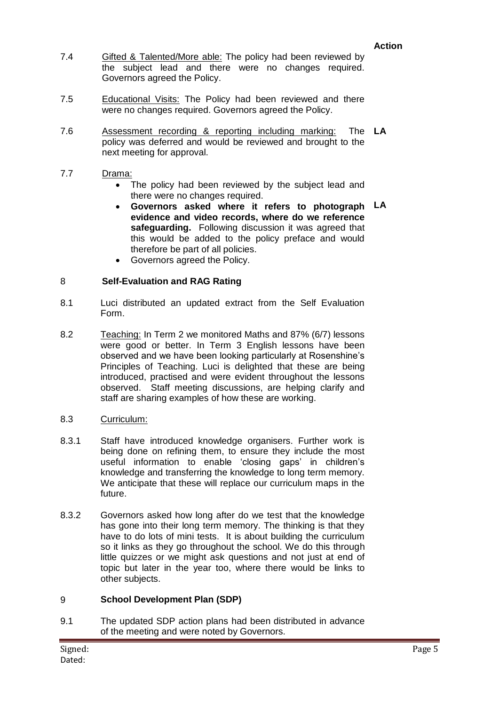- 7.4 Gifted & Talented/More able: The policy had been reviewed by the subject lead and there were no changes required. Governors agreed the Policy.
- 7.5 Educational Visits: The Policy had been reviewed and there were no changes required. Governors agreed the Policy.
- 7.6 Assessment recording & reporting including marking: policy was deferred and would be reviewed and brought to the next meeting for approval. **LA**
- 7.7 Drama:
	- The policy had been reviewed by the subject lead and there were no changes required.
	- **Governors asked where it refers to photograph LA evidence and video records, where do we reference safeguarding.** Following discussion it was agreed that this would be added to the policy preface and would therefore be part of all policies.
	- Governors agreed the Policy.

#### 8 **Self-Evaluation and RAG Rating**

- 8.1 Luci distributed an updated extract from the Self Evaluation Form.
- 8.2 Teaching: In Term 2 we monitored Maths and 87% (6/7) lessons were good or better. In Term 3 English lessons have been observed and we have been looking particularly at Rosenshine's Principles of Teaching. Luci is delighted that these are being introduced, practised and were evident throughout the lessons observed. Staff meeting discussions, are helping clarify and staff are sharing examples of how these are working.
- 8.3 Curriculum:
- 8.3.1 Staff have introduced knowledge organisers. Further work is being done on refining them, to ensure they include the most useful information to enable 'closing gaps' in children's knowledge and transferring the knowledge to long term memory. We anticipate that these will replace our curriculum maps in the future.
- 8.3.2 Governors asked how long after do we test that the knowledge has gone into their long term memory. The thinking is that they have to do lots of mini tests. It is about building the curriculum so it links as they go throughout the school. We do this through little quizzes or we might ask questions and not just at end of topic but later in the year too, where there would be links to other subjects.

## 9 **School Development Plan (SDP)**

9.1 The updated SDP action plans had been distributed in advance of the meeting and were noted by Governors.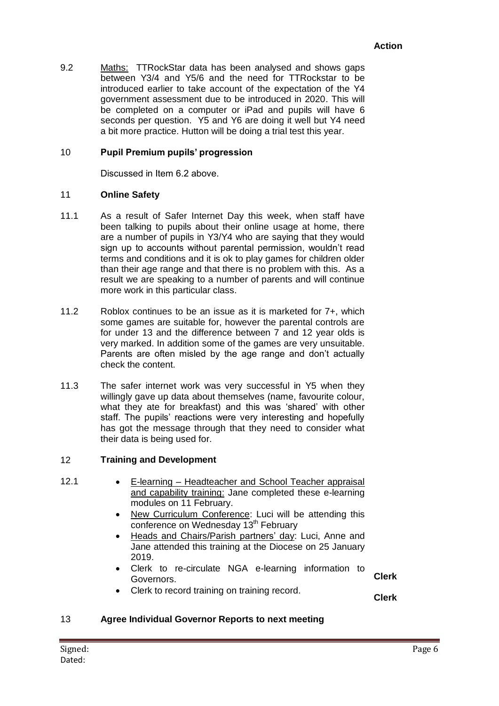9.2 Maths: TTRockStar data has been analysed and shows gaps between Y3/4 and Y5/6 and the need for TTRockstar to be introduced earlier to take account of the expectation of the Y4 government assessment due to be introduced in 2020. This will be completed on a computer or iPad and pupils will have 6 seconds per question. Y5 and Y6 are doing it well but Y4 need a bit more practice. Hutton will be doing a trial test this year.

#### 10 **Pupil Premium pupils' progression**

Discussed in Item 6.2 above.

#### 11 **Online Safety**

- 11.1 As a result of Safer Internet Day this week, when staff have been talking to pupils about their online usage at home, there are a number of pupils in Y3/Y4 who are saying that they would sign up to accounts without parental permission, wouldn't read terms and conditions and it is ok to play games for children older than their age range and that there is no problem with this. As a result we are speaking to a number of parents and will continue more work in this particular class.
- 11.2 Roblox continues to be an issue as it is marketed for 7+, which some games are suitable for, however the parental controls are for under 13 and the difference between 7 and 12 year olds is very marked. In addition some of the games are very unsuitable. Parents are often misled by the age range and don't actually check the content.
- 11.3 The safer internet work was very successful in Y5 when they willingly gave up data about themselves (name, favourite colour, what they ate for breakfast) and this was 'shared' with other staff. The pupils' reactions were very interesting and hopefully has got the message through that they need to consider what their data is being used for.

#### 12 **Training and Development**

- 
- 12.1 E-learning Headteacher and School Teacher appraisal and capability training: Jane completed these e-learning modules on 11 February.
	- New Curriculum Conference: Luci will be attending this conference on Wednesday 13<sup>th</sup> February
	- Heads and Chairs/Parish partners' day: Luci, Anne and Jane attended this training at the Diocese on 25 January 2019.
	- Clerk to re-circulate NGA e-learning information to Governors. **Clerk**
	- Clerk to record training on training record.

**Clerk**

## 13 **Agree Individual Governor Reports to next meeting**